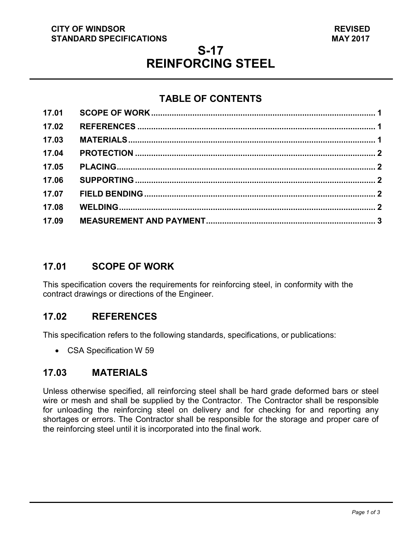#### **CITY OF WINDSOR STANDARD SPECIFICATIONS**

# **S-17 REINFORCING STEEL**

# **TABLE OF CONTENTS**

| 17.01 |  |
|-------|--|
| 17.02 |  |
| 17.03 |  |
| 17.04 |  |
| 17.05 |  |
| 17.06 |  |
| 17.07 |  |
| 17.08 |  |
| 17.09 |  |
|       |  |

#### <span id="page-0-2"></span>**17.01 SCOPE OF WORK**

This specification covers the requirements for reinforcing steel, in conformity with the contract drawings or directions of the Engineer.

### <span id="page-0-0"></span>**17.02 REFERENCES**

This specification refers to the following standards, specifications, or publications:

• CSA Specification W 59

### <span id="page-0-1"></span>**17.03 MATERIALS**

Unless otherwise specified, all reinforcing steel shall be hard grade deformed bars or steel wire or mesh and shall be supplied by the Contractor. The Contractor shall be responsible for unloading the reinforcing steel on delivery and for checking for and reporting any shortages or errors. The Contractor shall be responsible for the storage and proper care of the reinforcing steel until it is incorporated into the final work.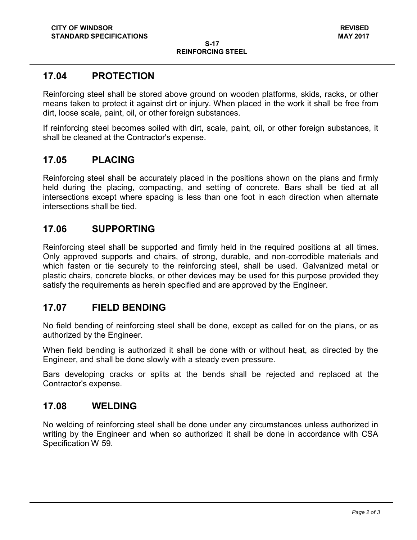### <span id="page-1-0"></span>**17.04 PROTECTION**

Reinforcing steel shall be stored above ground on wooden platforms, skids, racks, or other means taken to protect it against dirt or injury. When placed in the work it shall be free from dirt, loose scale, paint, oil, or other foreign substances.

If reinforcing steel becomes soiled with dirt, scale, paint, oil, or other foreign substances, it shall be cleaned at the Contractor's expense.

#### <span id="page-1-1"></span>**17.05 PLACING**

Reinforcing steel shall be accurately placed in the positions shown on the plans and firmly held during the placing, compacting, and setting of concrete. Bars shall be tied at all intersections except where spacing is less than one foot in each direction when alternate intersections shall be tied.

#### <span id="page-1-2"></span>**17.06 SUPPORTING**

Reinforcing steel shall be supported and firmly held in the required positions at all times. Only approved supports and chairs, of strong, durable, and non-corrodible materials and which fasten or tie securely to the reinforcing steel, shall be used. Galvanized metal or plastic chairs, concrete blocks, or other devices may be used for this purpose provided they satisfy the requirements as herein specified and are approved by the Engineer.

#### <span id="page-1-3"></span>**17.07 FIELD BENDING**

No field bending of reinforcing steel shall be done, except as called for on the plans, or as authorized by the Engineer.

When field bending is authorized it shall be done with or without heat, as directed by the Engineer, and shall be done slowly with a steady even pressure.

Bars developing cracks or splits at the bends shall be rejected and replaced at the Contractor's expense.

#### <span id="page-1-4"></span>**17.08 WELDING**

No welding of reinforcing steel shall be done under any circumstances unless authorized in writing by the Engineer and when so authorized it shall be done in accordance with CSA Specification W 59.